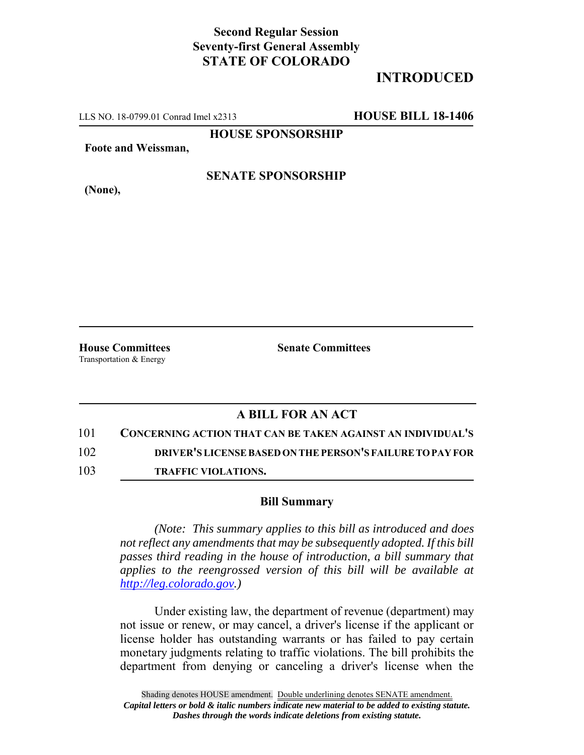## **Second Regular Session Seventy-first General Assembly STATE OF COLORADO**

## **INTRODUCED**

LLS NO. 18-0799.01 Conrad Imel x2313 **HOUSE BILL 18-1406**

**HOUSE SPONSORSHIP**

**Foote and Weissman,**

**(None),**

# **SENATE SPONSORSHIP**

Transportation & Energy

**House Committees Senate Committees**

### **A BILL FOR AN ACT**

101 **CONCERNING ACTION THAT CAN BE TAKEN AGAINST AN INDIVIDUAL'S**

102 **DRIVER'S LICENSE BASED ON THE PERSON'S FAILURE TO PAY FOR**

103 **TRAFFIC VIOLATIONS.**

#### **Bill Summary**

*(Note: This summary applies to this bill as introduced and does not reflect any amendments that may be subsequently adopted. If this bill passes third reading in the house of introduction, a bill summary that applies to the reengrossed version of this bill will be available at http://leg.colorado.gov.)*

Under existing law, the department of revenue (department) may not issue or renew, or may cancel, a driver's license if the applicant or license holder has outstanding warrants or has failed to pay certain monetary judgments relating to traffic violations. The bill prohibits the department from denying or canceling a driver's license when the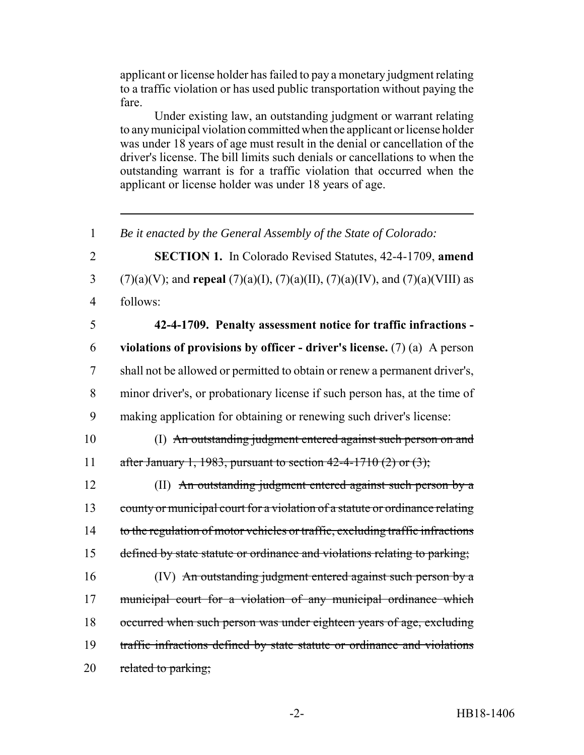applicant or license holder has failed to pay a monetary judgment relating to a traffic violation or has used public transportation without paying the fare.

Under existing law, an outstanding judgment or warrant relating to any municipal violation committed when the applicant or license holder was under 18 years of age must result in the denial or cancellation of the driver's license. The bill limits such denials or cancellations to when the outstanding warrant is for a traffic violation that occurred when the applicant or license holder was under 18 years of age.

 *Be it enacted by the General Assembly of the State of Colorado:* **SECTION 1.** In Colorado Revised Statutes, 42-4-1709, **amend** (7)(a)(V); and **repeal** (7)(a)(I), (7)(a)(II), (7)(a)(IV), and (7)(a)(VIII) as 4 follows: **42-4-1709. Penalty assessment notice for traffic infractions - violations of provisions by officer - driver's license.** (7) (a) A person shall not be allowed or permitted to obtain or renew a permanent driver's, minor driver's, or probationary license if such person has, at the time of making application for obtaining or renewing such driver's license: (I) An outstanding judgment entered against such person on and 11 after January 1, 1983, pursuant to section  $42-4-1710(2)$  or  $(3)$ ; (II) An outstanding judgment entered against such person by a 13 county or municipal court for a violation of a statute or ordinance relating 14 to the regulation of motor vehicles or traffic, excluding traffic infractions 15 defined by state statute or ordinance and violations relating to parking; (IV) An outstanding judgment entered against such person by a municipal court for a violation of any municipal ordinance which occurred when such person was under eighteen years of age, excluding traffic infractions defined by state statute or ordinance and violations 20 related to parking;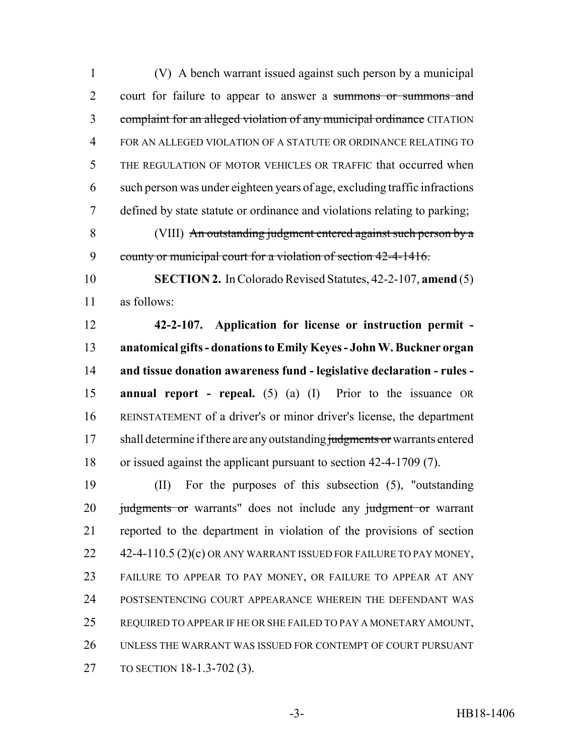(V) A bench warrant issued against such person by a municipal court for failure to appear to answer a summons or summons and 3 complaint for an alleged violation of any municipal ordinance CITATION FOR AN ALLEGED VIOLATION OF A STATUTE OR ORDINANCE RELATING TO THE REGULATION OF MOTOR VEHICLES OR TRAFFIC that occurred when such person was under eighteen years of age, excluding traffic infractions defined by state statute or ordinance and violations relating to parking; (VIII) An outstanding judgment entered against such person by a 9 county or municipal court for a violation of section 42-4-1416. **SECTION 2.** In Colorado Revised Statutes, 42-2-107, **amend** (5) as follows: **42-2-107. Application for license or instruction permit - anatomical gifts - donations to Emily Keyes - John W. Buckner organ and tissue donation awareness fund - legislative declaration - rules - annual report - repeal.** (5) (a) (I) Prior to the issuance OR REINSTATEMENT of a driver's or minor driver's license, the department 17 shall determine if there are any outstanding judgments or warrants entered or issued against the applicant pursuant to section 42-4-1709 (7). (II) For the purposes of this subsection (5), "outstanding 20 judgments or warrants" does not include any judgment or warrant reported to the department in violation of the provisions of section 22 42-4-110.5 (2)(c) OR ANY WARRANT ISSUED FOR FAILURE TO PAY MONEY, FAILURE TO APPEAR TO PAY MONEY, OR FAILURE TO APPEAR AT ANY POSTSENTENCING COURT APPEARANCE WHEREIN THE DEFENDANT WAS REQUIRED TO APPEAR IF HE OR SHE FAILED TO PAY A MONETARY AMOUNT,

 UNLESS THE WARRANT WAS ISSUED FOR CONTEMPT OF COURT PURSUANT TO SECTION 18-1.3-702 (3).

-3- HB18-1406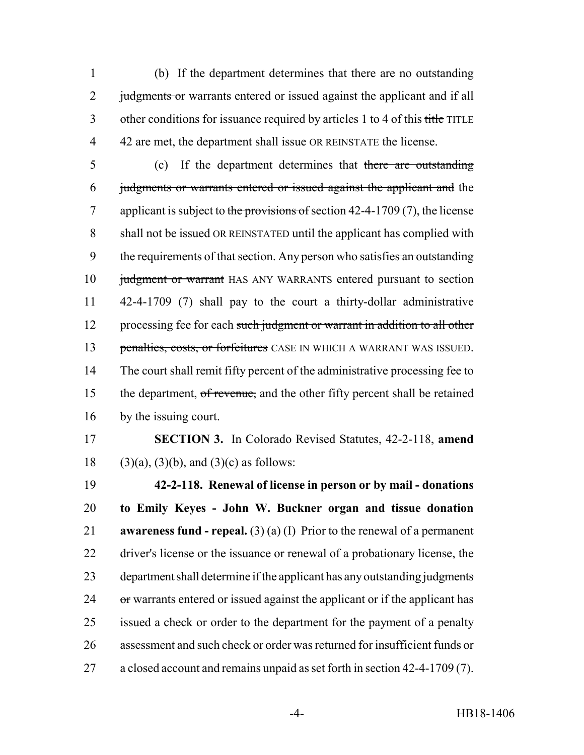(b) If the department determines that there are no outstanding 2 judgments or warrants entered or issued against the applicant and if all 3 other conditions for issuance required by articles 1 to 4 of this title TITLE 42 are met, the department shall issue OR REINSTATE the license.

- (c) If the department determines that there are outstanding judgments or warrants entered or issued against the applicant and the 7 applicant is subject to the provisions of section  $42-4-1709(7)$ , the license shall not be issued OR REINSTATED until the applicant has complied with 9 the requirements of that section. Any person who satisfies an outstanding 10 judgment or warrant HAS ANY WARRANTS entered pursuant to section 42-4-1709 (7) shall pay to the court a thirty-dollar administrative 12 processing fee for each such judgment or warrant in addition to all other 13 penalties, costs, or forfeitures CASE IN WHICH A WARRANT WAS ISSUED. The court shall remit fifty percent of the administrative processing fee to 15 the department, of revenue, and the other fifty percent shall be retained by the issuing court.
- **SECTION 3.** In Colorado Revised Statutes, 42-2-118, **amend** 18 (3)(a), (3)(b), and (3)(c) as follows:

 **42-2-118. Renewal of license in person or by mail - donations to Emily Keyes - John W. Buckner organ and tissue donation awareness fund - repeal.** (3) (a) (I) Prior to the renewal of a permanent driver's license or the issuance or renewal of a probationary license, the 23 department shall determine if the applicant has any outstanding judgments or warrants entered or issued against the applicant or if the applicant has issued a check or order to the department for the payment of a penalty assessment and such check or order was returned for insufficient funds or a closed account and remains unpaid as set forth in section 42-4-1709 (7).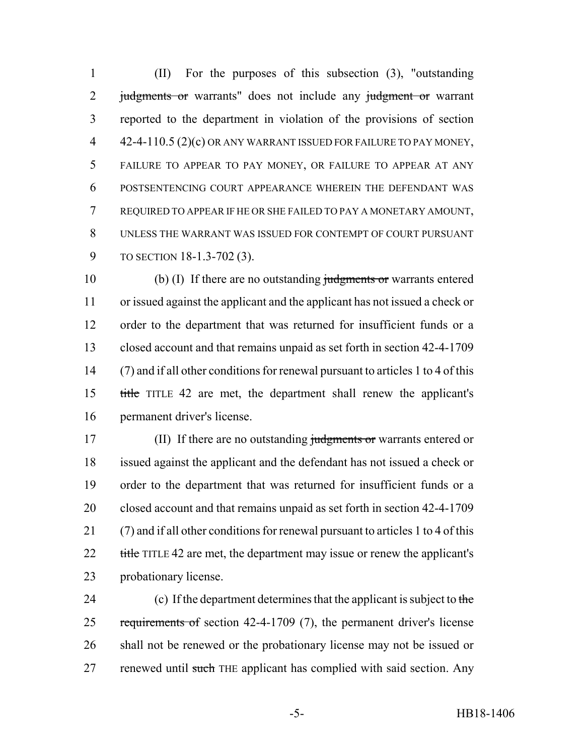(II) For the purposes of this subsection (3), "outstanding 2 judgments or warrants" does not include any judgment or warrant reported to the department in violation of the provisions of section 4 42-4-110.5 (2)(c) OR ANY WARRANT ISSUED FOR FAILURE TO PAY MONEY, FAILURE TO APPEAR TO PAY MONEY, OR FAILURE TO APPEAR AT ANY POSTSENTENCING COURT APPEARANCE WHEREIN THE DEFENDANT WAS REQUIRED TO APPEAR IF HE OR SHE FAILED TO PAY A MONETARY AMOUNT, UNLESS THE WARRANT WAS ISSUED FOR CONTEMPT OF COURT PURSUANT TO SECTION 18-1.3-702 (3).

10 (b) (I) If there are no outstanding judgments or warrants entered or issued against the applicant and the applicant has not issued a check or order to the department that was returned for insufficient funds or a closed account and that remains unpaid as set forth in section 42-4-1709 (7) and if all other conditions for renewal pursuant to articles 1 to 4 of this title TITLE 42 are met, the department shall renew the applicant's permanent driver's license.

17 (II) If there are no outstanding judgments or warrants entered or issued against the applicant and the defendant has not issued a check or order to the department that was returned for insufficient funds or a closed account and that remains unpaid as set forth in section 42-4-1709 (7) and if all other conditions for renewal pursuant to articles 1 to 4 of this 22 title TITLE 42 are met, the department may issue or renew the applicant's probationary license.

24 (c) If the department determines that the applicant is subject to the 25 requirements of section 42-4-1709 (7), the permanent driver's license shall not be renewed or the probationary license may not be issued or 27 renewed until such THE applicant has complied with said section. Any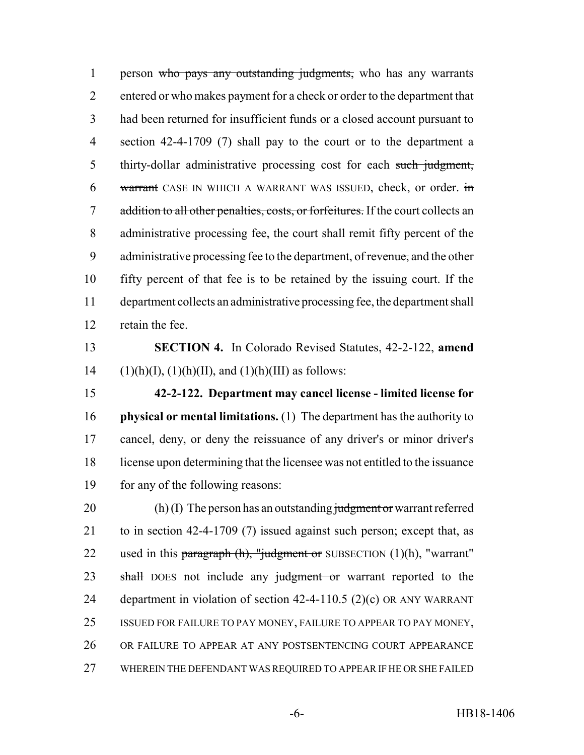1 person who pays any outstanding judgments, who has any warrants entered or who makes payment for a check or order to the department that had been returned for insufficient funds or a closed account pursuant to section 42-4-1709 (7) shall pay to the court or to the department a 5 thirty-dollar administrative processing cost for each such judgment, 6 warrant CASE IN WHICH A WARRANT WAS ISSUED, check, or order. in 7 addition to all other penalties, costs, or forfeitures. If the court collects an administrative processing fee, the court shall remit fifty percent of the 9 administrative processing fee to the department, of revenue, and the other fifty percent of that fee is to be retained by the issuing court. If the department collects an administrative processing fee, the department shall retain the fee.

 **SECTION 4.** In Colorado Revised Statutes, 42-2-122, **amend** 14 (1)(h)(I), (1)(h)(II), and (1)(h)(III) as follows:

 **42-2-122. Department may cancel license - limited license for physical or mental limitations.** (1) The department has the authority to cancel, deny, or deny the reissuance of any driver's or minor driver's license upon determining that the licensee was not entitled to the issuance 19 for any of the following reasons:

20 (h) (I) The person has an outstanding judgment or warrant referred to in section 42-4-1709 (7) issued against such person; except that, as 22 used in this paragraph  $(h)$ , "judgment or SUBSECTION  $(1)(h)$ , "warrant" 23 shall DOES not include any judgment or warrant reported to the department in violation of section 42-4-110.5 (2)(c) OR ANY WARRANT ISSUED FOR FAILURE TO PAY MONEY, FAILURE TO APPEAR TO PAY MONEY, OR FAILURE TO APPEAR AT ANY POSTSENTENCING COURT APPEARANCE WHEREIN THE DEFENDANT WAS REQUIRED TO APPEAR IF HE OR SHE FAILED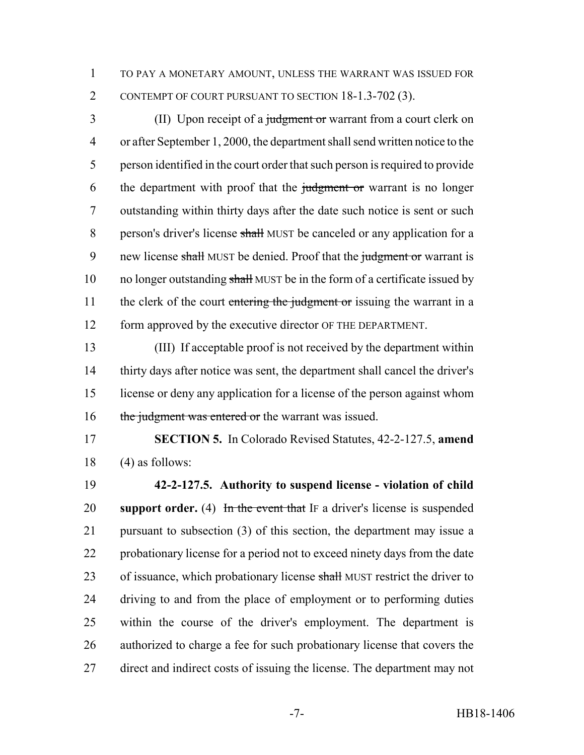TO PAY A MONETARY AMOUNT, UNLESS THE WARRANT WAS ISSUED FOR CONTEMPT OF COURT PURSUANT TO SECTION 18-1.3-702 (3).

3 (II) Upon receipt of a judgment or warrant from a court clerk on or after September 1, 2000, the department shall send written notice to the person identified in the court order that such person is required to provide 6 the department with proof that the judgment or warrant is no longer outstanding within thirty days after the date such notice is sent or such 8 person's driver's license shall MUST be canceled or any application for a 9 new license shall MUST be denied. Proof that the judgment or warrant is 10 no longer outstanding shall MUST be in the form of a certificate issued by 11 the clerk of the court entering the judgment or issuing the warrant in a form approved by the executive director OF THE DEPARTMENT.

 (III) If acceptable proof is not received by the department within thirty days after notice was sent, the department shall cancel the driver's license or deny any application for a license of the person against whom 16 the judgment was entered or the warrant was issued.

 **SECTION 5.** In Colorado Revised Statutes, 42-2-127.5, **amend** (4) as follows:

 **42-2-127.5. Authority to suspend license - violation of child support order.** (4) In the event that IF a driver's license is suspended pursuant to subsection (3) of this section, the department may issue a probationary license for a period not to exceed ninety days from the date 23 of issuance, which probationary license shall MUST restrict the driver to driving to and from the place of employment or to performing duties within the course of the driver's employment. The department is authorized to charge a fee for such probationary license that covers the direct and indirect costs of issuing the license. The department may not